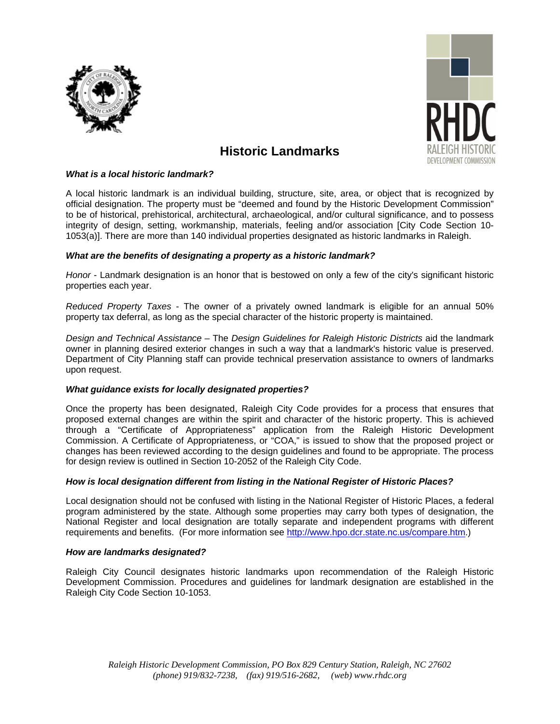



# **Historic Landmarks**

### *What is a local historic landmark?*

A local historic landmark is an individual building, structure, site, area, or object that is recognized by official designation. The property must be "deemed and found by the Historic Development Commission" to be of historical, prehistorical, architectural, archaeological, and/or cultural significance, and to possess integrity of design, setting, workmanship, materials, feeling and/or association [City Code Section 10- 1053(a)]. There are more than 140 individual properties designated as historic landmarks in Raleigh.

### *What are the benefits of designating a property as a historic landmark?*

*Honor* - Landmark designation is an honor that is bestowed on only a few of the city's significant historic properties each year.

*Reduced Property Taxes* - The owner of a privately owned landmark is eligible for an annual 50% property tax deferral, as long as the special character of the historic property is maintained.

*Design and Technical Assistance* – The *Design Guidelines for Raleigh Historic Districts* aid the landmark owner in planning desired exterior changes in such a way that a landmark's historic value is preserved. Department of City Planning staff can provide technical preservation assistance to owners of landmarks upon request.

### *What guidance exists for locally designated properties?*

Once the property has been designated, Raleigh City Code provides for a process that ensures that proposed external changes are within the spirit and character of the historic property. This is achieved through a "Certificate of Appropriateness" application from the Raleigh Historic Development Commission. A Certificate of Appropriateness, or "COA," is issued to show that the proposed project or changes has been reviewed according to the design guidelines and found to be appropriate. The process for design review is outlined in Section 10-2052 of the Raleigh City Code.

### *How is local designation different from listing in the National Register of Historic Places?*

Local designation should not be confused with listing in the National Register of Historic Places, a federal program administered by the state. Although some properties may carry both types of designation, the National Register and local designation are totally separate and independent programs with different requirements and benefits. (For more information see [http://www.hpo.dcr.state.nc.us/compare.htm.](http://www.hpo.dcr.state.nc.us/compare.htm))

### *How are landmarks designated?*

Raleigh City Council designates historic landmarks upon recommendation of the Raleigh Historic Development Commission. Procedures and guidelines for landmark designation are established in the Raleigh City Code Section 10-1053.